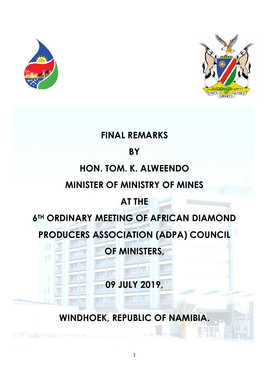



# **FINAL REMARKS**

#### **BY**

# **HON. TOM. K. ALWEENDO**

#### **MINISTER OF MINISTRY OF MINES**

# **AT THE**

# **6TH ORDINARY MEETING OF AFRICAN DIAMOND**

# **PRODUCERS ASSOCIATION (ADPA) COUNCIL**

**OF MINISTERS,**

**09 JULY 2019,**

**WINDHOEK, REPUBLIC OF NAMIBIA.**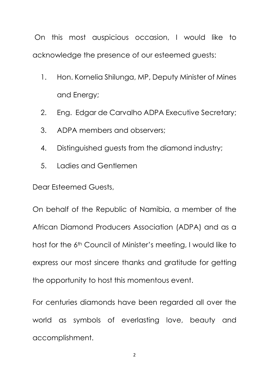On this most auspicious occasion, I would like to acknowledge the presence of our esteemed guests:

- 1. Hon. Kornelia Shilunga, MP, Deputy Minister of Mines and Energy;
- 2. Eng. Edgar de Carvalho ADPA Executive Secretary;
- 3. ADPA members and observers;
- 4. Distinguished guests from the diamond industry;
- 5. Ladies and Gentlemen

Dear Esteemed Guests,

On behalf of the Republic of Namibia, a member of the African Diamond Producers Association (ADPA) and as a host for the 6th Council of Minister's meeting, I would like to express our most sincere thanks and gratitude for getting the opportunity to host this momentous event.

For centuries diamonds have been regarded all over the world as symbols of everlasting love, beauty and accomplishment.

2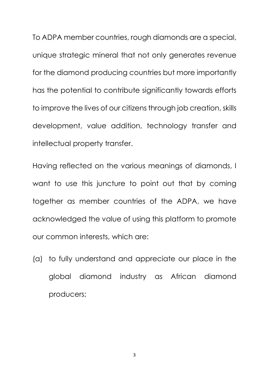To ADPA member countries, rough diamonds are a special, unique strategic mineral that not only generates revenue for the diamond producing countries but more importantly has the potential to contribute significantly towards efforts to improve the lives of our citizens through job creation, skills development, value addition, technology transfer and intellectual property transfer.

Having reflected on the various meanings of diamonds, I want to use this juncture to point out that by coming together as member countries of the ADPA, we have acknowledged the value of using this platform to promote our common interests, which are:

(a) to fully understand and appreciate our place in the global diamond industry as African diamond producers;

3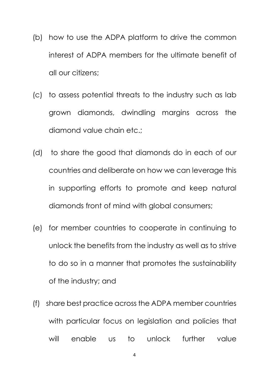- (b) how to use the ADPA platform to drive the common interest of ADPA members for the ultimate benefit of all our citizens;
- (c) to assess potential threats to the industry such as lab grown diamonds, dwindling margins across the diamond value chain etc.;
- (d) to share the good that diamonds do in each of our countries and deliberate on how we can leverage this in supporting efforts to promote and keep natural diamonds front of mind with global consumers;
- (e) for member countries to cooperate in continuing to unlock the benefits from the industry as well as to strive to do so in a manner that promotes the sustainability of the industry; and
- (f) share best practice across the ADPA member countries with particular focus on legislation and policies that will enable us to unlock further value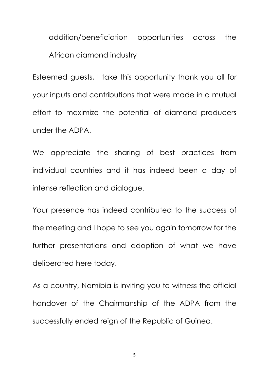addition/beneficiation opportunities across the African diamond industry

Esteemed guests, I take this opportunity thank you all for your inputs and contributions that were made in a mutual effort to maximize the potential of diamond producers under the ADPA.

We appreciate the sharing of best practices from individual countries and it has indeed been a day of intense reflection and dialogue.

Your presence has indeed contributed to the success of the meeting and I hope to see you again tomorrow for the further presentations and adoption of what we have deliberated here today.

As a country, Namibia is inviting you to witness the official handover of the Chairmanship of the ADPA from the successfully ended reign of the Republic of Guinea.

5